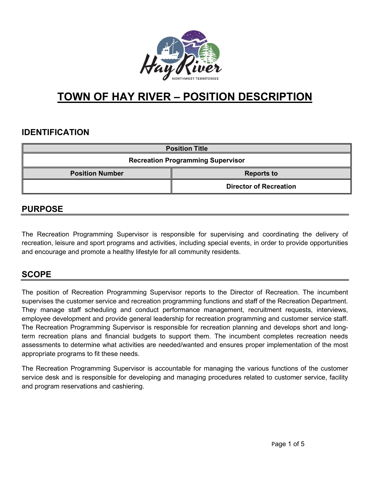

# **TOWN OF HAY RIVER – POSITION DESCRIPTION**

# **IDENTIFICATION**

| <b>Position Title</b>                    |                               |  |
|------------------------------------------|-------------------------------|--|
| <b>Recreation Programming Supervisor</b> |                               |  |
| <b>Position Number</b>                   | <b>Reports to</b>             |  |
|                                          | <b>Director of Recreation</b> |  |

### **PURPOSE**

The Recreation Programming Supervisor is responsible for supervising and coordinating the delivery of recreation, leisure and sport programs and activities, including special events, in order to provide opportunities and encourage and promote a healthy lifestyle for all community residents.

# **SCOPE**

The position of Recreation Programming Supervisor reports to the Director of Recreation. The incumbent supervises the customer service and recreation programming functions and staff of the Recreation Department. They manage staff scheduling and conduct performance management, recruitment requests, interviews, employee development and provide general leadership for recreation programming and customer service staff. The Recreation Programming Supervisor is responsible for recreation planning and develops short and longterm recreation plans and financial budgets to support them. The incumbent completes recreation needs assessments to determine what activities are needed/wanted and ensures proper implementation of the most appropriate programs to fit these needs.

The Recreation Programming Supervisor is accountable for managing the various functions of the customer service desk and is responsible for developing and managing procedures related to customer service, facility and program reservations and cashiering.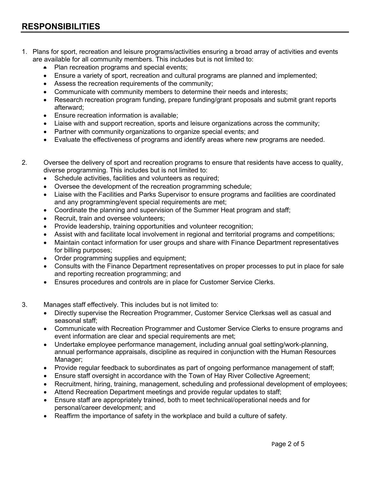- 1. Plans for sport, recreation and leisure programs/activities ensuring a broad array of activities and events are available for all community members. This includes but is not limited to:
	- Plan recreation programs and special events;
	- Ensure a variety of sport, recreation and cultural programs are planned and implemented;
	- Assess the recreation requirements of the community;
	- Communicate with community members to determine their needs and interests;
	- Research recreation program funding, prepare funding/grant proposals and submit grant reports afterward;
	- Ensure recreation information is available;
	- Liaise with and support recreation, sports and leisure organizations across the community;
	- Partner with community organizations to organize special events; and
	- Evaluate the effectiveness of programs and identify areas where new programs are needed.
- 2. Oversee the delivery of sport and recreation programs to ensure that residents have access to quality, diverse programming. This includes but is not limited to:
	- Schedule activities, facilities and volunteers as required;
	- Oversee the development of the recreation programming schedule;
	- Liaise with the Facilities and Parks Supervisor to ensure programs and facilities are coordinated and any programming/event special requirements are met;
	- Coordinate the planning and supervision of the Summer Heat program and staff;
	- Recruit, train and oversee volunteers:
	- Provide leadership, training opportunities and volunteer recognition;
	- Assist with and facilitate local involvement in regional and territorial programs and competitions;
	- Maintain contact information for user groups and share with Finance Department representatives for billing purposes;
	- Order programming supplies and equipment;
	- Consults with the Finance Department representatives on proper processes to put in place for sale and reporting recreation programming; and
	- Ensures procedures and controls are in place for Customer Service Clerks.
- 3. Manages staff effectively. This includes but is not limited to:
	- Directly supervise the Recreation Programmer, Customer Service Clerksas well as casual and seasonal staff;
	- Communicate with Recreation Programmer and Customer Service Clerks to ensure programs and event information are clear and special requirements are met;
	- Undertake employee performance management, including annual goal setting/work-planning, annual performance appraisals, discipline as required in conjunction with the Human Resources Manager;
	- Provide regular feedback to subordinates as part of ongoing performance management of staff;
	- Ensure staff oversight in accordance with the Town of Hay River Collective Agreement;
	- Recruitment, hiring, training, management, scheduling and professional development of employees;
	- Attend Recreation Department meetings and provide regular updates to staff;
	- Ensure staff are appropriately trained, both to meet technical/operational needs and for personal/career development; and
	- Reaffirm the importance of safety in the workplace and build a culture of safety.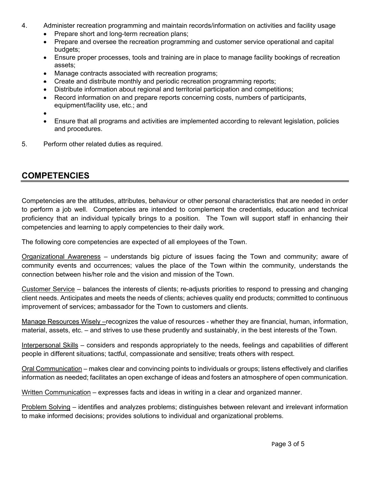- 4. Administer recreation programming and maintain records/information on activities and facility usage
	- Prepare short and long-term recreation plans;
	- Prepare and oversee the recreation programming and customer service operational and capital budgets;
	- Ensure proper processes, tools and training are in place to manage facility bookings of recreation assets;
	- Manage contracts associated with recreation programs;
	- Create and distribute monthly and periodic recreation programming reports;
	- Distribute information about regional and territorial participation and competitions;
	- Record information on and prepare reports concerning costs, numbers of participants, equipment/facility use, etc.; and

•

- Ensure that all programs and activities are implemented according to relevant legislation, policies and procedures.
- 5. Perform other related duties as required.

### **COMPETENCIES**

Competencies are the attitudes, attributes, behaviour or other personal characteristics that are needed in order to perform a job well. Competencies are intended to complement the credentials, education and technical proficiency that an individual typically brings to a position. The Town will support staff in enhancing their competencies and learning to apply competencies to their daily work.

The following core competencies are expected of all employees of the Town.

Organizational Awareness – understands big picture of issues facing the Town and community; aware of community events and occurrences; values the place of the Town within the community, understands the connection between his/her role and the vision and mission of the Town.

Customer Service – balances the interests of clients; re-adjusts priorities to respond to pressing and changing client needs. Anticipates and meets the needs of clients; achieves quality end products; committed to continuous improvement of services; ambassador for the Town to customers and clients.

Manage Resources Wisely –recognizes the value of resources - whether they are financial, human, information, material, assets, etc. – and strives to use these prudently and sustainably, in the best interests of the Town.

Interpersonal Skills – considers and responds appropriately to the needs, feelings and capabilities of different people in different situations; tactful, compassionate and sensitive; treats others with respect.

Oral Communication – makes clear and convincing points to individuals or groups; listens effectively and clarifies information as needed; facilitates an open exchange of ideas and fosters an atmosphere of open communication.

Written Communication – expresses facts and ideas in writing in a clear and organized manner.

Problem Solving – identifies and analyzes problems; distinguishes between relevant and irrelevant information to make informed decisions; provides solutions to individual and organizational problems.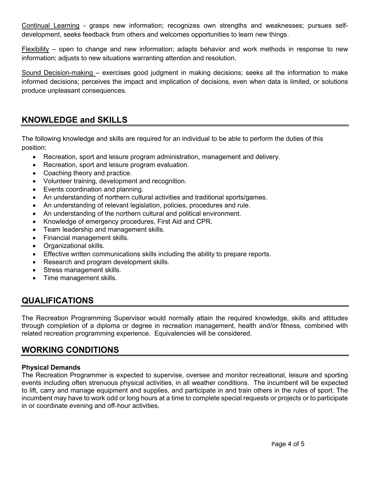Continual Learning - grasps new information; recognizes own strengths and weaknesses; pursues selfdevelopment, seeks feedback from others and welcomes opportunities to learn new things.

Flexibility – open to change and new information; adapts behavior and work methods in response to new information; adjusts to new situations warranting attention and resolution.

Sound Decision-making – exercises good judgment in making decisions; seeks all the information to make informed decisions; perceives the impact and implication of decisions, even when data is limited, or solutions produce unpleasant consequences.

# **KNOWLEDGE and SKILLS**

The following knowledge and skills are required for an individual to be able to perform the duties of this position:

- Recreation, sport and leisure program administration, management and delivery.
- Recreation, sport and leisure program evaluation.
- Coaching theory and practice.
- Volunteer training, development and recognition.
- Events coordination and planning.
- An understanding of northern cultural activities and traditional sports/games.
- An understanding of relevant legislation, policies, procedures and rule.
- An understanding of the northern cultural and political environment.
- Knowledge of emergency procedures, First Aid and CPR.
- Team leadership and management skills.
- Financial management skills.
- Organizational skills.
- Effective written communications skills including the ability to prepare reports.
- Research and program development skills.
- Stress management skills.
- Time management skills.

# **QUALIFICATIONS**

The Recreation Programming Supervisor would normally attain the required knowledge, skills and attitudes through completion of a diploma or degree in recreation management, health and/or fitness, combined with related recreation programming experience. Equivalencies will be considered.

# **WORKING CONDITIONS**

#### **Physical Demands**

The Recreation Programmer is expected to supervise, oversee and monitor recreational, leisure and sporting events including often strenuous physical activities, in all weather conditions. The incumbent will be expected to lift, carry and manage equipment and supplies, and participate in and train others in the rules of sport. The incumbent may have to work odd or long hours at a time to complete special requests or projects or to participate in or coordinate evening and off-hour activities.